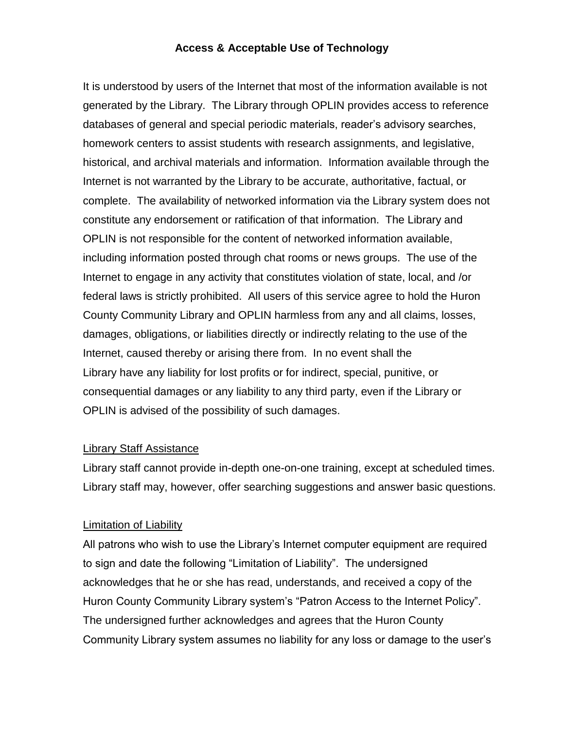## **Access & Acceptable Use of Technology**

It is understood by users of the Internet that most of the information available is not generated by the Library. The Library through OPLIN provides access to reference databases of general and special periodic materials, reader's advisory searches, homework centers to assist students with research assignments, and legislative, historical, and archival materials and information. Information available through the Internet is not warranted by the Library to be accurate, authoritative, factual, or complete. The availability of networked information via the Library system does not constitute any endorsement or ratification of that information. The Library and OPLIN is not responsible for the content of networked information available, including information posted through chat rooms or news groups. The use of the Internet to engage in any activity that constitutes violation of state, local, and /or federal laws is strictly prohibited. All users of this service agree to hold the Huron County Community Library and OPLIN harmless from any and all claims, losses, damages, obligations, or liabilities directly or indirectly relating to the use of the Internet, caused thereby or arising there from. In no event shall the Library have any liability for lost profits or for indirect, special, punitive, or consequential damages or any liability to any third party, even if the Library or OPLIN is advised of the possibility of such damages.

## Library Staff Assistance

Library staff cannot provide in-depth one-on-one training, except at scheduled times. Library staff may, however, offer searching suggestions and answer basic questions.

## Limitation of Liability

All patrons who wish to use the Library's Internet computer equipment are required to sign and date the following "Limitation of Liability". The undersigned acknowledges that he or she has read, understands, and received a copy of the Huron County Community Library system's "Patron Access to the Internet Policy". The undersigned further acknowledges and agrees that the Huron County Community Library system assumes no liability for any loss or damage to the user's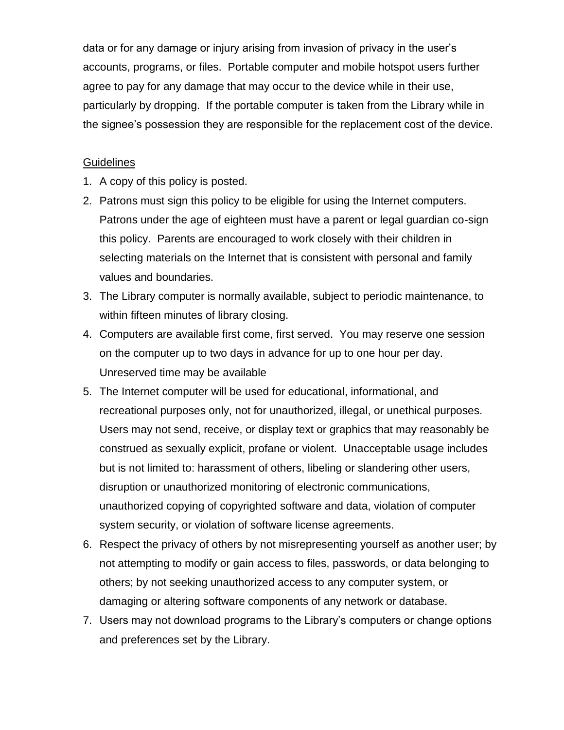data or for any damage or injury arising from invasion of privacy in the user's accounts, programs, or files. Portable computer and mobile hotspot users further agree to pay for any damage that may occur to the device while in their use, particularly by dropping. If the portable computer is taken from the Library while in the signee's possession they are responsible for the replacement cost of the device.

## **Guidelines**

- 1. A copy of this policy is posted.
- 2. Patrons must sign this policy to be eligible for using the Internet computers. Patrons under the age of eighteen must have a parent or legal guardian co-sign this policy. Parents are encouraged to work closely with their children in selecting materials on the Internet that is consistent with personal and family values and boundaries.
- 3. The Library computer is normally available, subject to periodic maintenance, to within fifteen minutes of library closing.
- 4. Computers are available first come, first served. You may reserve one session on the computer up to two days in advance for up to one hour per day. Unreserved time may be available
- 5. The Internet computer will be used for educational, informational, and recreational purposes only, not for unauthorized, illegal, or unethical purposes. Users may not send, receive, or display text or graphics that may reasonably be construed as sexually explicit, profane or violent. Unacceptable usage includes but is not limited to: harassment of others, libeling or slandering other users, disruption or unauthorized monitoring of electronic communications, unauthorized copying of copyrighted software and data, violation of computer system security, or violation of software license agreements.
- 6. Respect the privacy of others by not misrepresenting yourself as another user; by not attempting to modify or gain access to files, passwords, or data belonging to others; by not seeking unauthorized access to any computer system, or damaging or altering software components of any network or database.
- 7. Users may not download programs to the Library's computers or change options and preferences set by the Library.